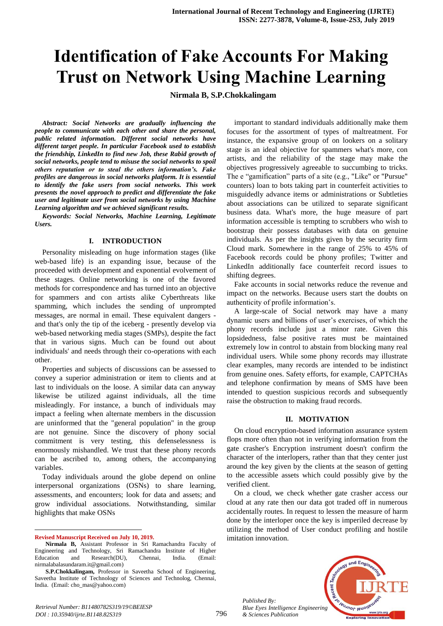# **Identification of Fake Accounts For Making Trust on Network Using Machine Learning**

**Nirmala B, S.P.Chokkalingam**

*Abstract: Social Networks are gradually influencing the people to communicate with each other and share the personal, public related information. Different social networks have different target people. In particular Facebook used to establish the friendship, LinkedIn to find new Job, these Rabid growth of social networks, people tend to misuse the social networks to spoil others reputation or to steal the others information's. Fake profiles are dangerous in social networks platform. It is essential to identify the fake users from social networks. This work presents the novel approach to predict and differentiate the fake user and legitimate user from social networks by using Machine Learning algorithm and we achieved significant results.*

*Keywords: Social Networks, Machine Learning, Legitimate Users.*

### **I. INTRODUCTION**

Personality misleading on huge information stages (like web-based life) is an expanding issue, because of the proceeded with development and exponential evolvement of these stages. Online networking is one of the favored methods for correspondence and has turned into an objective for spammers and con artists alike Cyberthreats like spamming, which includes the sending of unprompted messages, are normal in email. These equivalent dangers and that's only the tip of the iceberg - presently develop via web-based networking media stages (SMPs), despite the fact that in various signs. Much can be found out about individuals' and needs through their co-operations with each other.

Properties and subjects of discussions can be assessed to convey a superior administration or item to clients and at last to individuals on the loose. A similar data can anyway likewise be utilized against individuals, all the time misleadingly. For instance, a bunch of individuals may impact a feeling when alternate members in the discussion are uninformed that the "general population" in the group are not genuine. Since the discovery of phony social commitment is very testing, this defenselessness is enormously mishandled. We trust that these phony records can be ascribed to, among others, the accompanying variables.

Today individuals around the globe depend on online interpersonal organizations (OSNs) to share learning, assessments, and encounters; look for data and assets; and grow individual associations. Notwithstanding, similar highlights that make OSNs

**Revised Manuscript Received on July 10, 2019.**

 $\overline{a}$ 

important to standard individuals additionally make them focuses for the assortment of types of maltreatment. For instance, the expansive group of on lookers on a solitary stage is an ideal objective for spammers what's more, con artists, and the reliability of the stage may make the objectives progressively agreeable to succumbing to tricks. The e "gamification" parts of a site (e.g., "Like" or "Pursue" counters) loan to bots taking part in counterfeit activities to misguidedly advance items or administrations or Subtleties about associations can be utilized to separate significant business data. What's more, the huge measure of part information accessible is tempting to scrubbers who wish to bootstrap their possess databases with data on genuine individuals. As per the insights given by the security firm Cloud mark. Somewhere in the range of 25% to 45% of Facebook records could be phony profiles; Twitter and LinkedIn additionally face counterfeit record issues to shifting degrees.

Fake accounts in social networks reduce the revenue and impact on the networks. Because users start the doubts on authenticity of profile information's.

A large-scale of Social network may have a many dynamic users and billions of user's exercises, of which the phony records include just a minor rate. Given this lopsidedness, false positive rates must be maintained extremely low in control to abstain from blocking many real individual users. While some phony records may illustrate clear examples, many records are intended to be indistinct from genuine ones. Safety efforts, for example, CAPTCHAs and telephone confirmation by means of SMS have been intended to question suspicious records and subsequently raise the obstruction to making fraud records.

#### **II. MOTIVATION**

On cloud encryption-based information assurance system flops more often than not in verifying information from the gate crasher's Encryption instrument doesn't confirm the character of the interlopers, rather than that they center just around the key given by the clients at the season of getting to the accessible assets which could possibly give by the verified client.

On a cloud, we check whether gate crasher access our cloud at any rate then our data got traded off in numerous accidentally routes. In request to lessen the measure of harm done by the interloper once the key is imperiled decrease by utilizing the method of User conduct profiling and hostile imitation innovation.

*Published By: Blue Eyes Intelligence Engineering & Sciences Publication* 



**Nirmala B,** Assistant Professor in Sri Ramachandra Faculty of Engineering and Technology, Sri Ramachandra Institute of Higher Education and Research(DU), Chennai, India. (Email: nirmalabalasundaram.it@gmail.com)

**S.P.Chokkalingam,** Professor in Saveetha School of Engineering, Saveetha Institute of Technology of Sciences and Technolog, Chennai, India. (Email: cho\_mas@yahoo.com)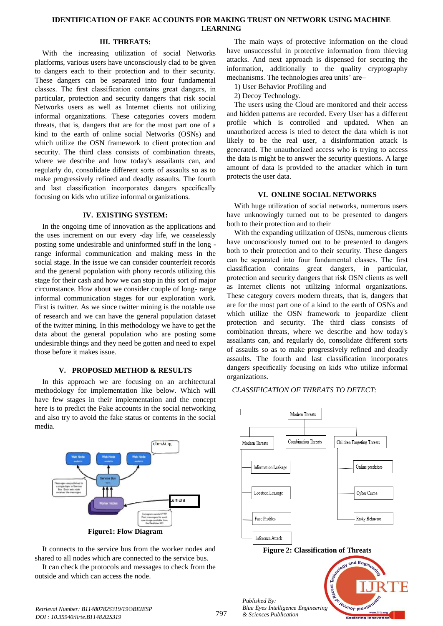# **IDENTIFICATION OF FAKE ACCOUNTS FOR MAKING TRUST ON NETWORK USING MACHINE LEARNING**

# **III. THREATS:**

With the increasing utilization of social Networks platforms, various users have unconsciously clad to be given to dangers each to their protection and to their security. These dangers can be separated into four fundamental classes. The first classification contains great dangers, in particular, protection and security dangers that risk social Networks users as well as Internet clients not utilizing informal organizations. These categories covers modern threats, that is, dangers that are for the most part one of a kind to the earth of online social Networks (OSNs) and which utilize the OSN framework to client protection and security. The third class consists of combination threats, where we describe and how today's assailants can, and regularly do, consolidate different sorts of assaults so as to make progressively refined and deadly assaults. The fourth and last classification incorporates dangers specifically focusing on kids who utilize informal organizations.

## **IV. EXISTING SYSTEM:**

In the ongoing time of innovation as the applications and the uses increment on our every -day life, we ceaselessly posting some undesirable and uninformed stuff in the long range informal communication and making mess in the social stage. In the issue we can consider counterfeit records and the general population with phony records utilizing this stage for their cash and how we can stop in this sort of major circumstance. How about we consider couple of long- range informal communication stages for our exploration work. First is twitter. As we since twitter mining is the notable use of research and we can have the general population dataset of the twitter mining. In this methodology we have to get the data about the general population who are posting some undesirable things and they need be gotten and need to expel those before it makes issue.

## **V. PROPOSED METHOD & RESULTS**

In this approach we are focusing on an architectural methodology for implementation like below. Which will have few stages in their implementation and the concept here is to predict the Fake accounts in the social networking and also try to avoid the fake status or contents in the social media.



It connects to the service bus from the worker nodes and shared to all nodes which are connected to the service bus.

It can check the protocols and messages to check from the outside and which can access the node.

The main ways of protective information on the cloud have unsuccessful in protective information from thieving attacks. And next approach is dispensed for securing the information, additionally to the quality cryptography mechanisms. The technologies area units' are–

1) User Behavior Profiling and

2) Decoy Technology.

The users using the Cloud are monitored and their access and hidden patterns are recorded. Every User has a different profile which is controlled and updated. When an unauthorized access is tried to detect the data which is not likely to be the real user, a disinformation attack is generated. The unauthorized access who is trying to access the data is might be to answer the security questions. A large amount of data is provided to the attacker which in turn protects the user data.

## **VI. ONLINE SOCIAL NETWORKS**

With huge utilization of social networks, numerous users have unknowingly turned out to be presented to dangers both to their protection and to their

With the expanding utilization of OSNs, numerous clients have unconsciously turned out to be presented to dangers both to their protection and to their security. These dangers can be separated into four fundamental classes. The first classification contains great dangers, in particular, protection and security dangers that risk OSN clients as well as Internet clients not utilizing informal organizations. These category covers modern threats, that is, dangers that are for the most part one of a kind to the earth of OSNs and which utilize the OSN framework to jeopardize client protection and security. The third class consists of combination threats, where we describe and how today's assailants can, and regularly do, consolidate different sorts of assaults so as to make progressively refined and deadly assaults. The fourth and last classification incorporates dangers specifically focusing on kids who utilize informal organizations.

#### *CLASSIFICATION OF THREATS TO DETECT:*





Ind Engl

**Veuanor lenoir** 

Recent 7 *Published By: Blue Eyes Intelligence Engineering & Sciences Publication*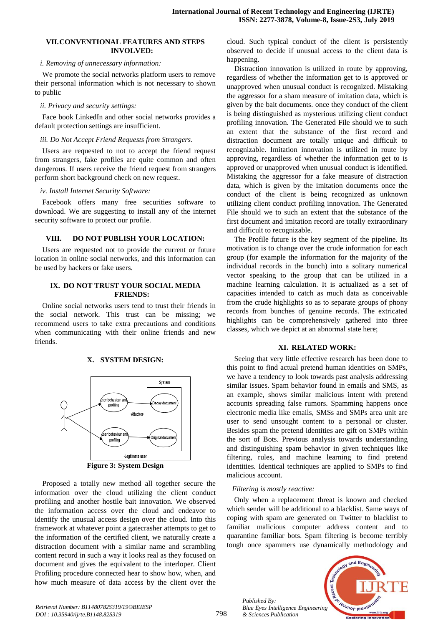#### **VII.CONVENTIONAL FEATURES AND STEPS INVOLVED:**

#### *i. Removing of unnecessary information:*

We promote the social networks platform users to remove their personal information which is not necessary to shown to public

### *ii. Privacy and security settings:*

Face book LinkedIn and other social networks provides a default protection settings are insufficient.

## *iii. Do Not Accept Friend Requests from Strangers.*

Users are requested to not to accept the friend request from strangers, fake profiles are quite common and often dangerous. If users receive the friend request from strangers perform short background check on new request.

#### *iv. Install Internet Security Software:*

Facebook offers many free securities software to download. We are suggesting to install any of the internet security software to protect our profile.

# **VIII. DO NOT PUBLISH YOUR LOCATION:**

Users are requested not to provide the current or future location in online social networks, and this information can be used by hackers or fake users.

## **IX. DO NOT TRUST YOUR SOCIAL MEDIA FRIENDS:**

Online social networks users tend to trust their friends in the social network. This trust can be missing; we recommend users to take extra precautions and conditions when communicating with their online friends and new friends.



**X. SYSTEM DESIGN:**

**Figure 3: System Design**

Proposed a totally new method all together secure the information over the cloud utilizing the client conduct profiling and another hostile bait innovation. We observed the information access over the cloud and endeavor to identify the unusual access design over the cloud. Into this framework at whatever point a gatecrasher attempts to get to the information of the certified client, we naturally create a distraction document with a similar name and scrambling content record in such a way it looks real as they focused on document and gives the equivalent to the interloper. Client Profiling procedure connected hear to show how, when, and how much measure of data access by the client over the

cloud. Such typical conduct of the client is persistently observed to decide if unusual access to the client data is happening.

Distraction innovation is utilized in route by approving, regardless of whether the information get to is approved or unapproved when unusual conduct is recognized. Mistaking the aggressor for a sham measure of imitation data, which is given by the bait documents. once they conduct of the client is being distinguished as mysterious utilizing client conduct profiling innovation. The Generated File should we to such an extent that the substance of the first record and distraction document are totally unique and difficult to recognizable. Imitation innovation is utilized in route by approving, regardless of whether the information get to is approved or unapproved when unusual conduct is identified. Mistaking the aggressor for a fake measure of distraction data, which is given by the imitation documents once the conduct of the client is being recognized as unknown utilizing client conduct profiling innovation. The Generated File should we to such an extent that the substance of the first document and imitation record are totally extraordinary and difficult to recognizable.

The Profile future is the key segment of the pipeline. Its motivation is to change over the crude information for each group (for example the information for the majority of the individual records in the bunch) into a solitary numerical vector speaking to the group that can be utilized in a machine learning calculation. It is actualized as a set of capacities intended to catch as much data as conceivable from the crude highlights so as to separate groups of phony records from bunches of genuine records. The extricated highlights can be comprehensively gathered into three classes, which we depict at an abnormal state here;

# **XI. RELATED WORK:**

Seeing that very little effective research has been done to this point to find actual pretend human identities on SMPs, we have a tendency to look towards past analysis addressing similar issues. Spam behavior found in emails and SMS, as an example, shows similar malicious intent with pretend accounts spreading false rumors. Spamming happens once electronic media like emails, SMSs and SMPs area unit are user to send unsought content to a personal or cluster. Besides spam the pretend identities are gift on SMPs within the sort of Bots. Previous analysis towards understanding and distinguishing spam behavior in given techniques like filtering, rules, and machine learning to find pretend identities. Identical techniques are applied to SMPs to find malicious account.

# *Filtering is mostly reactive:*

*Published By:*

*& Sciences Publication* 

Only when a replacement threat is known and checked which sender will be additional to a blacklist. Same ways of coping with spam are generated on Twitter to blacklist to familiar malicious computer address content and to quarantine familiar bots. Spam filtering is become terribly tough once spammers use dynamically methodology and

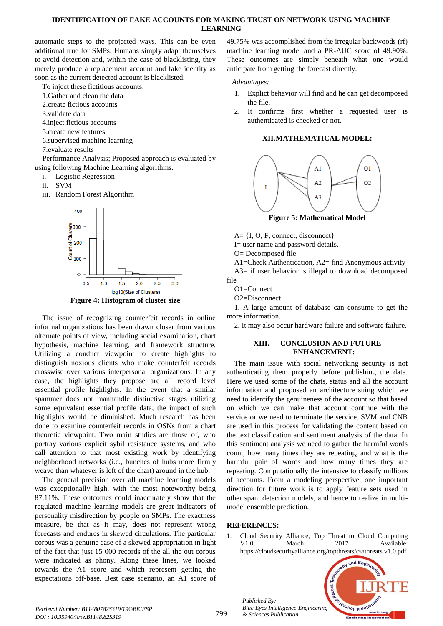# **IDENTIFICATION OF FAKE ACCOUNTS FOR MAKING TRUST ON NETWORK USING MACHINE LEARNING**

automatic steps to the projected ways. This can be even additional true for SMPs. Humans simply adapt themselves to avoid detection and, within the case of blacklisting, they merely produce a replacement account and fake identity as soon as the current detected account is blacklisted.

To inject these fictitious accounts:

- 1.Gather and clean the data
- 2.create fictious accounts
- 3.validate data
- 4.inject fictious accounts
- 5.create new features

6.supervised machine learning

7.evaluate results

Performance Analysis; Proposed approach is evaluated by using following Machine Learning algorithms.

- i. Logistic Regression
- ii. SVM
- iii. Random Forest Algorithm



**Figure 4: Histogram of cluster size**

The issue of recognizing counterfeit records in online informal organizations has been drawn closer from various alternate points of view, including social examination, chart hypothesis, machine learning, and framework structure. Utilizing a conduct viewpoint to create highlights to distinguish noxious clients who make counterfeit records crosswise over various interpersonal organizations. In any case, the highlights they propose are all record level essential profile highlights. In the event that a similar spammer does not manhandle distinctive stages utilizing some equivalent essential profile data, the impact of such highlights would be diminished. Much research has been done to examine counterfeit records in OSNs from a chart theoretic viewpoint. Two main studies are those of, who portray various explicit sybil resistance systems, and who call attention to that most existing work by identifying neighborhood networks (i.e., bunches of hubs more firmly weave than whatever is left of the chart) around in the hub.

The general precision over all machine learning models was exceptionally high, with the most noteworthy being 87.11%. These outcomes could inaccurately show that the regulated machine learning models are great indicators of personality misdirection by people on SMPs. The exactness measure, be that as it may, does not represent wrong forecasts and endures in skewed circulations. The particular corpus was a genuine case of a skewed appropriation in light of the fact that just 15 000 records of the all the out corpus were indicated as phony. Along these lines, we looked towards the A1 score and which represent getting the expectations off-base. Best case scenario, an A1 score of 49.75% was accomplished from the irregular backwoods (rf) machine learning model and a PR-AUC score of 49.90%. These outcomes are simply beneath what one would anticipate from getting the forecast directly.

*Advantages:*

- 1. Explict behavior will find and he can get decomposed the file.
- 2. It confirms first whether a requested user is authenticated is checked or not.

## **XII.MATHEMATICAL MODEL:**



**Figure 5: Mathematical Model**

A= {I, O, F, connect, disconnect}

I= user name and password details,

O= Decomposed file

A1=Check Authentication, A2= find Anonymous activity A3= if user behavior is illegal to download decomposed file

 $O1 =$ Connect

O2=Disconnect

1. A large amount of database can consume to get the more information.

2. It may also occur hardware failure and software failure.

# **XIII. CONCLUSION AND FUTURE ENHANCEMENT:**

The main issue with social networking security is not authenticating them properly before publishing the data. Here we used some of the chats, status and all the account information and proposed an architecture suing which we need to identify the genuineness of the account so that based on which we can make that account continue with the service or we need to terminate the service. SVM and CNB are used in this process for validating the content based on the text classification and sentiment analysis of the data. In this sentiment analysis we need to gather the harmful words count, how many times they are repeating, and what is the harmful pair of words and how many times they are repeating. Computationally the intensive to classify millions of accounts. From a modeling perspective, one important direction for future work is to apply feature sets used in other spam detection models, and hence to realize in multimodel ensemble prediction.

# **REFERENCES:**

*Published By:*

*& Sciences Publication* 

1. Cloud Security Alliance, Top Threat to Cloud Computing V1.0, March 2017 Available: https://cloudsecurityalliance.org/topthreats/csathreats.v1.0.pdf



*Retrieval Number: B11480782S319/19©BEIESP DOI : 10.35940/ijrte.B1148.82S319*